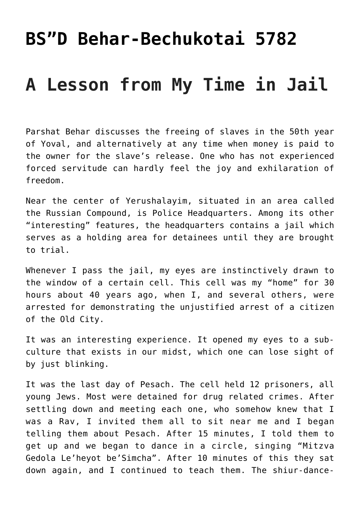## **[BS"D Behar-Bechukotai 5782](https://nachmankahana.com/bsd-parashiot-behar-bechukotai-5782/)**

## **A Lesson from My Time in Jail**

Parshat Behar discusses the freeing of slaves in the 50th year of Yoval, and alternatively at any time when money is paid to the owner for the slave's release. One who has not experienced forced servitude can hardly feel the joy and exhilaration of freedom.

Near the center of Yerushalayim, situated in an area called the Russian Compound, is Police Headquarters. Among its other "interesting" features, the headquarters contains a jail which serves as a holding area for detainees until they are brought to trial.

Whenever I pass the jail, my eyes are instinctively drawn to the window of a certain cell. This cell was my "home" for 30 hours about 40 years ago, when I, and several others, were arrested for demonstrating the unjustified arrest of a citizen of the Old City.

It was an interesting experience. It opened my eyes to a subculture that exists in our midst, which one can lose sight of by just blinking.

It was the last day of Pesach. The cell held 12 prisoners, all young Jews. Most were detained for drug related crimes. After settling down and meeting each one, who somehow knew that I was a Rav, I invited them all to sit near me and I began telling them about Pesach. After 15 minutes, I told them to get up and we began to dance in a circle, singing "Mitzva Gedola Le'heyot be'Simcha". After 10 minutes of this they sat down again, and I continued to teach them. The shiur-dance-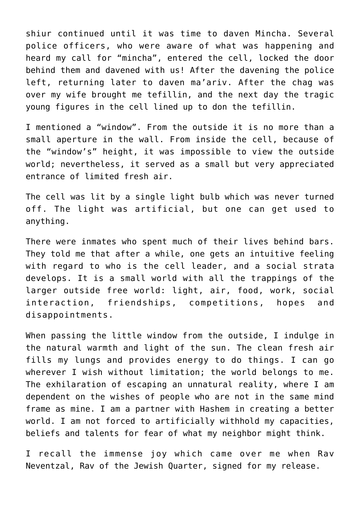shiur continued until it was time to daven Mincha. Several police officers, who were aware of what was happening and heard my call for "mincha", entered the cell, locked the door behind them and davened with us! After the davening the police left, returning later to daven ma'ariv. After the chag was over my wife brought me tefillin, and the next day the tragic young figures in the cell lined up to don the tefillin.

I mentioned a "window". From the outside it is no more than a small aperture in the wall. From inside the cell, because of the "window's" height, it was impossible to view the outside world; nevertheless, it served as a small but very appreciated entrance of limited fresh air.

The cell was lit by a single light bulb which was never turned off. The light was artificial, but one can get used to anything.

There were inmates who spent much of their lives behind bars. They told me that after a while, one gets an intuitive feeling with regard to who is the cell leader, and a social strata develops. It is a small world with all the trappings of the larger outside free world: light, air, food, work, social interaction, friendships, competitions, hopes and disappointments.

When passing the little window from the outside, I indulge in the natural warmth and light of the sun. The clean fresh air fills my lungs and provides energy to do things. I can go wherever I wish without limitation; the world belongs to me. The exhilaration of escaping an unnatural reality, where I am dependent on the wishes of people who are not in the same mind frame as mine. I am a partner with Hashem in creating a better world. I am not forced to artificially withhold my capacities, beliefs and talents for fear of what my neighbor might think.

I recall the immense joy which came over me when Rav Neventzal, Rav of the Jewish Quarter, signed for my release.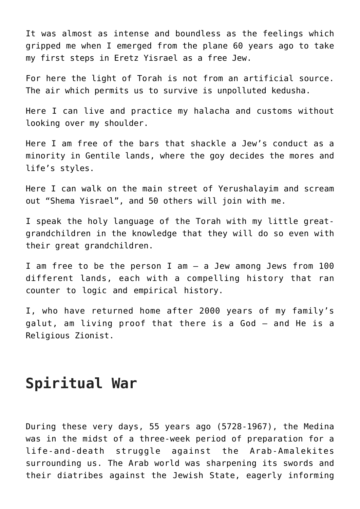It was almost as intense and boundless as the feelings which gripped me when I emerged from the plane 60 years ago to take my first steps in Eretz Yisrael as a free Jew.

For here the light of Torah is not from an artificial source. The air which permits us to survive is unpolluted kedusha.

Here I can live and practice my halacha and customs without looking over my shoulder.

Here I am free of the bars that shackle a Jew's conduct as a minority in Gentile lands, where the goy decides the mores and life's styles.

Here I can walk on the main street of Yerushalayim and scream out "Shema Yisrael", and 50 others will join with me.

I speak the holy language of the Torah with my little greatgrandchildren in the knowledge that they will do so even with their great grandchildren.

I am free to be the person I am – a Jew among Jews from 100 different lands, each with a compelling history that ran counter to logic and empirical history.

I, who have returned home after 2000 years of my family's galut, am living proof that there is a God – and He is a Religious Zionist.

## **Spiritual War**

During these very days, 55 years ago (5728-1967), the Medina was in the midst of a three-week period of preparation for a life-and-death struggle against the Arab-Amalekites surrounding us. The Arab world was sharpening its swords and their diatribes against the Jewish State, eagerly informing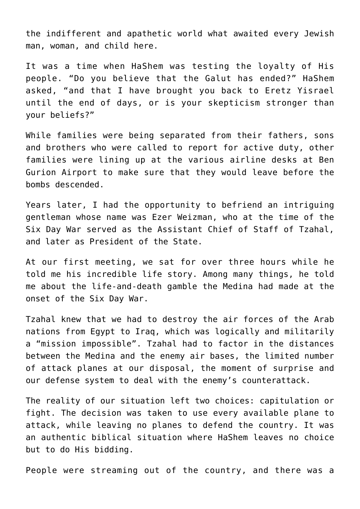the indifferent and apathetic world what awaited every Jewish man, woman, and child here.

It was a time when HaShem was testing the loyalty of His people. "Do you believe that the Galut has ended?" HaShem asked, "and that I have brought you back to Eretz Yisrael until the end of days, or is your skepticism stronger than your beliefs?"

While families were being separated from their fathers, sons and brothers who were called to report for active duty, other families were lining up at the various airline desks at Ben Gurion Airport to make sure that they would leave before the bombs descended.

Years later, I had the opportunity to befriend an intriguing gentleman whose name was Ezer Weizman, who at the time of the Six Day War served as the Assistant Chief of Staff of Tzahal, and later as President of the State.

At our first meeting, we sat for over three hours while he told me his incredible life story. Among many things, he told me about the life-and-death gamble the Medina had made at the onset of the Six Day War.

Tzahal knew that we had to destroy the air forces of the Arab nations from Egypt to Iraq, which was logically and militarily a "mission impossible". Tzahal had to factor in the distances between the Medina and the enemy air bases, the limited number of attack planes at our disposal, the moment of surprise and our defense system to deal with the enemy's counterattack.

The reality of our situation left two choices: capitulation or fight. The decision was taken to use every available plane to attack, while leaving no planes to defend the country. It was an authentic biblical situation where HaShem leaves no choice but to do His bidding.

People were streaming out of the country, and there was a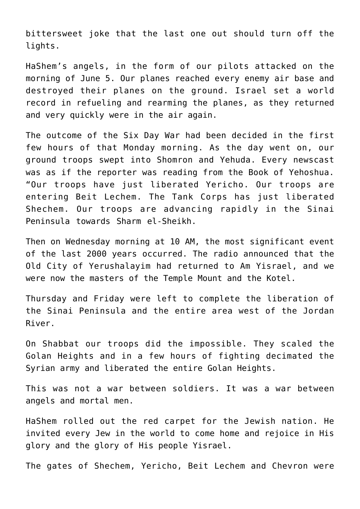bittersweet joke that the last one out should turn off the lights.

HaShem's angels, in the form of our pilots attacked on the morning of June 5. Our planes reached every enemy air base and destroyed their planes on the ground. Israel set a world record in refueling and rearming the planes, as they returned and very quickly were in the air again.

The outcome of the Six Day War had been decided in the first few hours of that Monday morning. As the day went on, our ground troops swept into Shomron and Yehuda. Every newscast was as if the reporter was reading from the Book of Yehoshua. "Our troops have just liberated Yericho. Our troops are entering Beit Lechem. The Tank Corps has just liberated Shechem. Our troops are advancing rapidly in the Sinai Peninsula towards Sharm el-Sheikh.

Then on Wednesday morning at 10 AM, the most significant event of the last 2000 years occurred. The radio announced that the Old City of Yerushalayim had returned to Am Yisrael, and we were now the masters of the Temple Mount and the Kotel.

Thursday and Friday were left to complete the liberation of the Sinai Peninsula and the entire area west of the Jordan River.

On Shabbat our troops did the impossible. They scaled the Golan Heights and in a few hours of fighting decimated the Syrian army and liberated the entire Golan Heights.

This was not a war between soldiers. It was a war between angels and mortal men.

HaShem rolled out the red carpet for the Jewish nation. He invited every Jew in the world to come home and rejoice in His glory and the glory of His people Yisrael.

The gates of Shechem, Yericho, Beit Lechem and Chevron were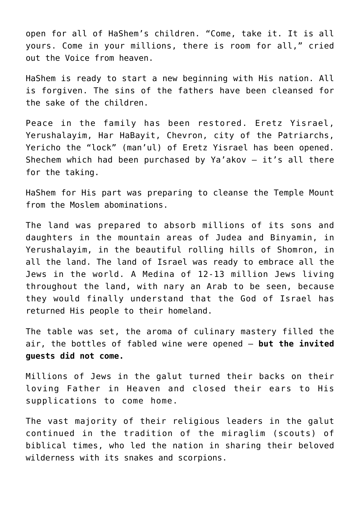open for all of HaShem's children. "Come, take it. It is all yours. Come in your millions, there is room for all," cried out the Voice from heaven.

HaShem is ready to start a new beginning with His nation. All is forgiven. The sins of the fathers have been cleansed for the sake of the children.

Peace in the family has been restored. Eretz Yisrael, Yerushalayim, Har HaBayit, Chevron, city of the Patriarchs, Yericho the "lock" (man'ul) of Eretz Yisrael has been opened. Shechem which had been purchased by Ya'akov – it's all there for the taking.

HaShem for His part was preparing to cleanse the Temple Mount from the Moslem abominations.

The land was prepared to absorb millions of its sons and daughters in the mountain areas of Judea and Binyamin, in Yerushalayim, in the beautiful rolling hills of Shomron, in all the land. The land of Israel was ready to embrace all the Jews in the world. A Medina of 12-13 million Jews living throughout the land, with nary an Arab to be seen, because they would finally understand that the God of Israel has returned His people to their homeland.

The table was set, the aroma of culinary mastery filled the air, the bottles of fabled wine were opened – **but the invited guests did not come.**

Millions of Jews in the galut turned their backs on their loving Father in Heaven and closed their ears to His supplications to come home.

The vast majority of their religious leaders in the galut continued in the tradition of the miraglim (scouts) of biblical times, who led the nation in sharing their beloved wilderness with its snakes and scorpions.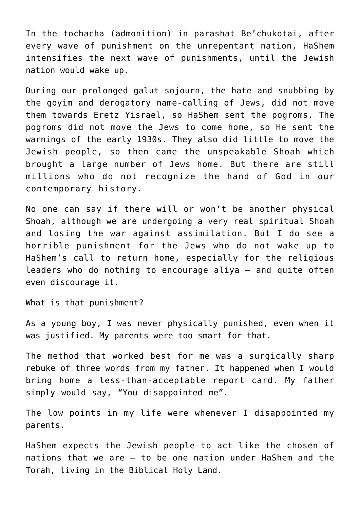In the tochacha (admonition) in parashat Be'chukotai, after every wave of punishment on the unrepentant nation, HaShem intensifies the next wave of punishments, until the Jewish nation would wake up.

During our prolonged galut sojourn, the hate and snubbing by the goyim and derogatory name-calling of Jews, did not move them towards Eretz Yisrael, so HaShem sent the pogroms. The pogroms did not move the Jews to come home, so He sent the warnings of the early 1930s. They also did little to move the Jewish people, so then came the unspeakable Shoah which brought a large number of Jews home. But there are still millions who do not recognize the hand of God in our contemporary history.

No one can say if there will or won't be another physical Shoah, although we are undergoing a very real spiritual Shoah and losing the war against assimilation. But I do see a horrible punishment for the Jews who do not wake up to HaShem's call to return home, especially for the religious leaders who do nothing to encourage aliya – and quite often even discourage it.

What is that punishment?

As a young boy, I was never physically punished, even when it was justified. My parents were too smart for that.

The method that worked best for me was a surgically sharp rebuke of three words from my father. It happened when I would bring home a less-than-acceptable report card. My father simply would say, "You disappointed me".

The low points in my life were whenever I disappointed my parents.

HaShem expects the Jewish people to act like the chosen of nations that we are – to be one nation under HaShem and the Torah, living in the Biblical Holy Land.